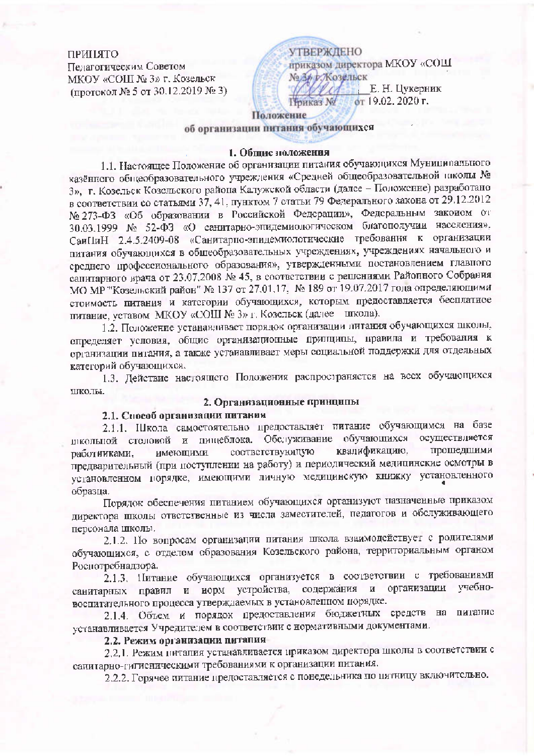#### ПРИЦАТО

Педагогическим Советом МКОУ «СОШ № 3» г. Козельск (протокол № 5 от 30.12.2019 № 3) **УТВЕРЖДЕНО** приказом директора МКОУ «СОШ №34 Жозельск Е. Н. Цукерник от 19.02. 2020 г. Приказ №

## Положение

об организации питания обучающихся

## 1. Общие ноложения

1.1. Настоящее Положение об организации питания обучающихся Муниципального казённого общеобразовательного учреждения «Средней общеобразовательной школы № 3», г. Козельск Козельского района Калужской области (далее - Положение) разработано в соответствии со статьями 37, 41, пунктом 7 статьи 79 Федерального закона от 29.12.2012 № 273-ФЗ «Об образовании в Российской Федерации», Федеральным законом от 30.03.1999 № 52-ФЗ «О санитарно-эпидемиологическом благополучии населения». СанПиН 2.4.5.2409-08 «Санитарно-эпидемиологические требования к организации питания обучающихся в общеобразовательных учреждениях, учреждениях начального и среднего профессионального образования», утвержденными постановлением главного санитарного врача от 23.07.2008 № 45, в соответствии с решениями Районного Собрания МО МР "Козельский район" № 137 от 27.01.17, № 189 от 19.07.2017 года определяющими стоимость питания и категории обучающихся, которым предоставляется бесплатное питание, уставом МКОУ «СОШ № 3» г. Козельск (далее инкола).

1.2. Положение устанавливает порядок организации литания обучающихся школы, определяет условия, общис организационные принципы, правила и требования к организации питания, а также устанавливает меры социальной поддержки для отдельных категорий обучающихся.

1.3. Действие настоящего Положения распространяется на всех обучающихся школы.

### 2. Организационные принципы

# 2.1. Способ организации питании

2.1.1. Школа самостоятельно предоставляет питание обучающимся на базе писольной столовой и пищеблока. Обслуживание обучающихся осуществляется квалификацию, прошедшими соответствующую работниками. имеющими предварительный (при поступлении на работу) и периодический медицинские осмотры в установленном порядке, имеющими личную медицинскую книжку установленного образца.

Порядок обеспечения питанием обучающихся организуют назначенные приказом директора школы ответственные из числа заместителей, педагогов и обслуживающего персонала школы.

2.1.2. По вопросам организации питания школа взаимодействует с родителями обучающихся, с отделом образования Козельского района, территориальным органом Роспотребнадзора.

2.1.3. Питание обучающихся организуется в соответствии с требованиями санитарных правил и норм устройства, содержания и организации учебновоспитательного процесса утверждаемых в установленном порядке.

2.1.4. Объем и порядок предоставления бюджетных средств на питание устанавливается Учредителем в соответствии с нормативными документами.

## 2.2. Режим организации питапия

2.2.1. Режим питапия устанавливается приказом директора школы в соответствии с санитарно-гигиспическими требованиями к организации питания.

2.2.2. Горячее питание предоставляется с понедельника по пятницу включительно.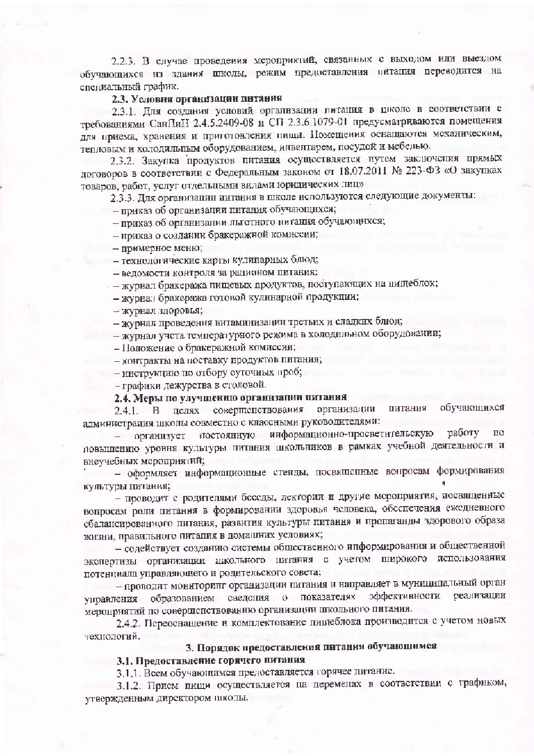2.2.3. В случае проведения мероприятий, связанных с выходом или выездом обучающихся из здания школы, режим предоставления питапия переводится на специальный график.

### 2.3. Условия организации питания

2.3.1. Для создания условий организации литания в циоле в соответствии с требованиями СанПиН 2.4.5.2409-08 и СП 2.3.6.1079-01 предусматриваются помещения для приема, хранения и приготовления пищи. Помещения оснащаются механическим, тепловым и холодильным оборудованием, инвентарем, посудой и мебелью.

2,3.2. Закупка продуктов питания осуществляется путем заключения прямых договоров в соответствии с Федеральным законом от 18.07.2011 № 223-ФЗ «О закупках товаров, работ, услуг отдельными видами юридических лиц»

2.3.3. Для организации питания в школе используются следующие документы:

- приказ об организации питания обучающихся;

- приказ об организации льготного питания обучающихся;
- приказ о создании бракеражной комиссии;
- примерное меню;
- технологические карты кулипарных блюд;
- ведомости контроля за рационом питания:
- журнал бракеража пищевых продуктов, поступающих на нищеблок;
	- журнал бракеража готовой кулинарной продукции;
	- журнал здоровья;

- журнал проведения витаминизации третьих и сладких блюд;

- журнал учета температурного режима в холодильном оборудовании;

- Положение о бракеражной комиссии:

- контракты на поставку продуктов питания;

- инструкцию по отбору суточных проб;

- графики дежурства в столовой.

## 2.4. Меры по улучшению организации питания

обучающихся целях совершенствования питания организации  $2.4.1. B$ администрация школы совместно с классными руководителями:

организует иостоянную информационно-просветительскую работу по  $$ повышению уровня культуры питания школьников в рамках учебной деятельности и внеучебных мероприятий;

- оформляет информационные степды, посвященные вопросам формирования культуры питания;

- проводит с родителями беседы, лектории и другие мероприятия, посвященные вопросам роли питания в формировании здоровья человека, обеспечения ежедневного сбалансированного питания, развития культуры питания и пропаганды здорового образа жизни, правильного питапия в домашних условиях;

- содействует созданию системы общественного информирования и общественной экспертизы организации школьного питания с учетом широкого использования потенциала управляющего и родительского совета;

- проводит мониторинг организации питания и направляет в муниципальный орган оффективности реализации образованием сведения о показателях управления мероприятий по совершенствованию организации школьного питания.

2.4.2. Переоснашение и комплектование пицеблока производится с учетом новых технологий.

# 3. Порядок предоставления питания обучающимся

### 3.1. Предоставление горячего питания

3.1.1. Всем обучающимся предоставляется горячее питанис.

3.1.2. Прием пищи осуществляется на переменах в соответствии с графиком, утвержденным директором школы.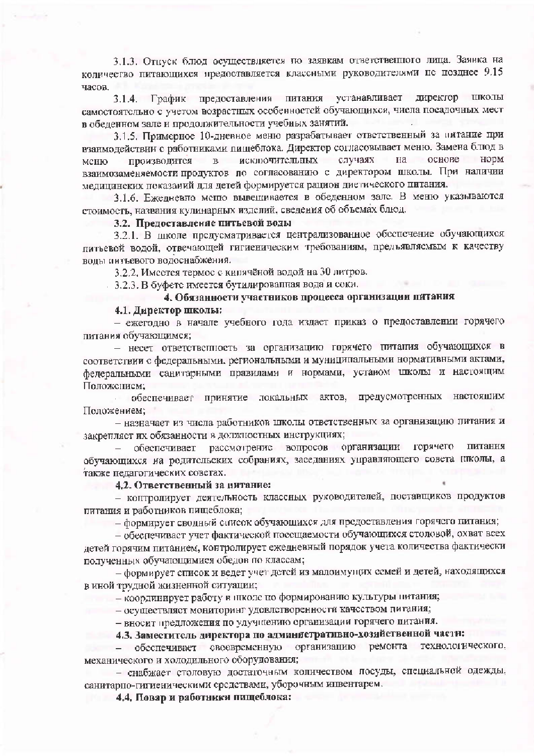3.1.3. Отнуск блюд осуществляется по заявкам ответственного лица. Заявка на количество питающихся предоставляется классными руководителями не позднее 9.15 часов.

3.1.4. График предоставления питания устанавливает директор школы самостоятельно с учетом возрастных особенностей обучающихся, числа посалочных мест в обеденном зале и продолжительности учебных занятий.

3.1.5. Примерное 10-дневное меню разрабатывает ответственный за питание при взаимодействии с работниками пищеблока. Директор согласовывает меню. Замена блюд в норм исключительных случаях на основе меню производится  $\mathbf{B}$ взаимозаменяемости продуктов по согласованию с директором школы. При наличии мелицинских показаний для детей формируется рацион дистического питания.

3.1.6. Ежедневно меню вывещивается в обеденном зале. В меню указываются стоимость, названия кулинарных изделий, сведения об объемах блюд.

#### 3.2. Предоставление питьевой воды

3.2.1. В школе предусматривается централизованное обеспечение обучающихся питьевой водой, отвечающей гигиеническим требованиям, предъявляемым к качеству воды питьевого водоснабжения.

3.2.2. Имеется термос с кинячёной водой на 30 литров.

3.2.3. В буфете имеется бутилированная вода и соки.

# 4. Обязанности участников процесса организации питания

#### 4.1. Липектор школы:

- ежегодно в начале учебного года издает приказ о предоставлении горячего питания обучающимся;

- несет ответственность за организацию горячего питания обучающихся в соответствии с федеральными, региональными и муниципальными нормативными актами, федеральными санитарными правилами и нормами, устаном школы и настоящим Положением:

обеспечивает принятие локальных актов, предусмотренных настоящим Положением:

- назначает из числа работников школы ответственных за организацию питания и закрепляет их обязанности в должностных инструкциях;

обеспечивает рассмотрение вопросов организации горячего питания обучающихся на родительских собраниях, заседаниях управляющего совета птколы, а также педагогических советах.

## 4.2. Ответственный за интание:

- контролирует деятельность классных руководителей, поставщиков продуктов питания и работников пищеблока;

- формирует сводный список обучающихся для предоставления горячего питания;

- обеспечивает учет фактической посещаемости обучающихся столовой, охват всех детей горячим питанием, контролирует ежедневный порядок учета количества фактически полученных обучающимися обедов по классам;

- формирует список и ведет учет детей из малоимущих семей и детей, находящихся в иной трудной жизненной ситуации;

- координирует работу в школе по формированию культуры питания;

- осуществляет мониторинг удовлетворенности качеством питания;

- вносит предложения по улучшению организации горячего питания.

# 4.3. Заместитсль директора по административно-хозяйственной части:

ремонта технологического, организацию - обеспечивает своевременную механического и холодильного оборудования;

- снабжает столовую достаточным количеством посуды, специальной одежды, санитарно-гигиеническими средствами, уборочным инвентарем.

4.4. Повар и работники пищеблока: